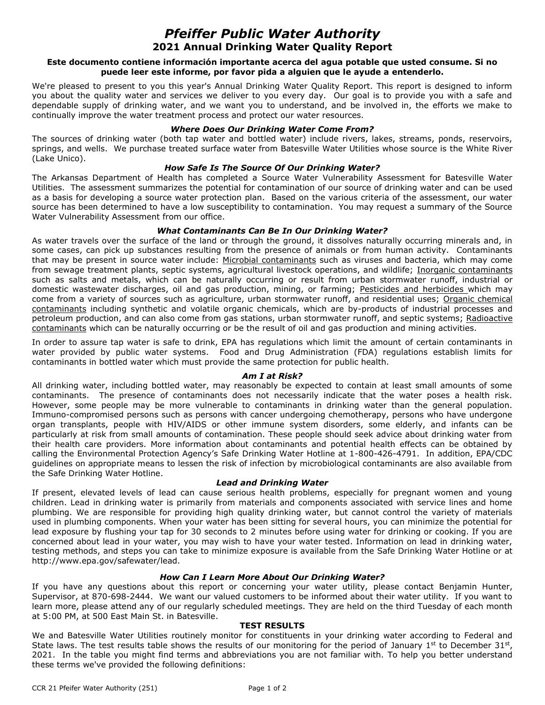# *Pfeiffer Public Water Authority* **2021 Annual Drinking Water Quality Report**

## **Este documento contiene información importante acerca del agua potable que usted consume. Si no puede leer este informe, por favor pida a alguien que le ayude a entenderlo.**

We're pleased to present to you this year's Annual Drinking Water Quality Report. This report is designed to inform you about the quality water and services we deliver to you every day. Our goal is to provide you with a safe and dependable supply of drinking water, and we want you to understand, and be involved in, the efforts we make to continually improve the water treatment process and protect our water resources.

## *Where Does Our Drinking Water Come From?*

The sources of drinking water (both tap water and bottled water) include rivers, lakes, streams, ponds, reservoirs, springs, and wells. We purchase treated surface water from Batesville Water Utilities whose source is the White River (Lake Unico).

# *How Safe Is The Source Of Our Drinking Water?*

The Arkansas Department of Health has completed a Source Water Vulnerability Assessment for Batesville Water Utilities. The assessment summarizes the potential for contamination of our source of drinking water and can be used as a basis for developing a source water protection plan. Based on the various criteria of the assessment, our water source has been determined to have a low susceptibility to contamination. You may request a summary of the Source Water Vulnerability Assessment from our office.

## *What Contaminants Can Be In Our Drinking Water?*

As water travels over the surface of the land or through the ground, it dissolves naturally occurring minerals and, in some cases, can pick up substances resulting from the presence of animals or from human activity. Contaminants that may be present in source water include: Microbial contaminants such as viruses and bacteria, which may come from sewage treatment plants, septic systems, agricultural livestock operations, and wildlife; Inorganic contaminants such as salts and metals, which can be naturally occurring or result from urban stormwater runoff, industrial or domestic wastewater discharges, oil and gas production, mining, or farming; Pesticides and herbicides which may come from a variety of sources such as agriculture, urban stormwater runoff, and residential uses; Organic chemical contaminants including synthetic and volatile organic chemicals, which are by-products of industrial processes and petroleum production, and can also come from gas stations, urban stormwater runoff, and septic systems; Radioactive contaminants which can be naturally occurring or be the result of oil and gas production and mining activities.

In order to assure tap water is safe to drink, EPA has regulations which limit the amount of certain contaminants in water provided by public water systems. Food and Drug Administration (FDA) regulations establish limits for contaminants in bottled water which must provide the same protection for public health.

#### *Am I at Risk?*

All drinking water, including bottled water, may reasonably be expected to contain at least small amounts of some contaminants. The presence of contaminants does not necessarily indicate that the water poses a health risk. However, some people may be more vulnerable to contaminants in drinking water than the general population. Immuno-compromised persons such as persons with cancer undergoing chemotherapy, persons who have undergone organ transplants, people with HIV/AIDS or other immune system disorders, some elderly, and infants can be particularly at risk from small amounts of contamination. These people should seek advice about drinking water from their health care providers. More information about contaminants and potential health effects can be obtained by calling the Environmental Protection Agency's Safe Drinking Water Hotline at 1-800-426-4791. In addition, EPA/CDC guidelines on appropriate means to lessen the risk of infection by microbiological contaminants are also available from the Safe Drinking Water Hotline.

#### *Lead and Drinking Water*

If present, elevated levels of lead can cause serious health problems, especially for pregnant women and young children. Lead in drinking water is primarily from materials and components associated with service lines and home plumbing. We are responsible for providing high quality drinking water, but cannot control the variety of materials used in plumbing components. When your water has been sitting for several hours, you can minimize the potential for lead exposure by flushing your tap for 30 seconds to 2 minutes before using water for drinking or cooking. If you are concerned about lead in your water, you may wish to have your water tested. Information on lead in drinking water, testing methods, and steps you can take to minimize exposure is available from the Safe Drinking Water Hotline or at http://www.epa.gov/safewater/lead.

# *How Can I Learn More About Our Drinking Water?*

If you have any questions about this report or concerning your water utility, please contact Benjamin Hunter, Supervisor, at 870-698-2444. We want our valued customers to be informed about their water utility. If you want to learn more, please attend any of our regularly scheduled meetings. They are held on the third Tuesday of each month at 5:00 PM, at 500 East Main St. in Batesville.

#### **TEST RESULTS**

We and Batesville Water Utilities routinely monitor for constituents in your drinking water according to Federal and State laws. The test results table shows the results of our monitoring for the period of January  $1^{st}$  to December  $31^{st}$ , 2021. In the table you might find terms and abbreviations you are not familiar with. To help you better understand these terms we've provided the following definitions: